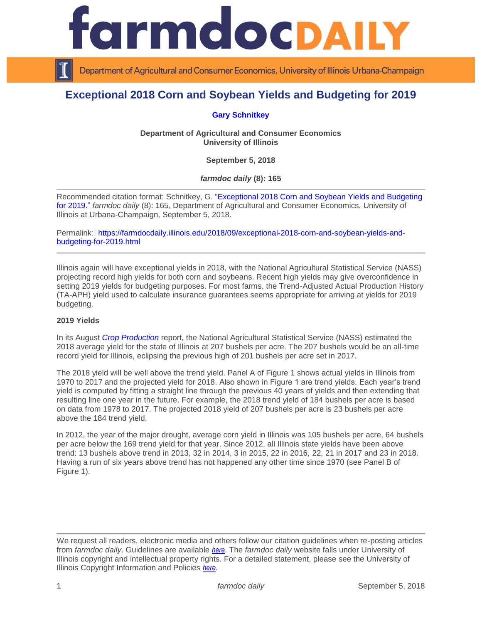

Department of Agricultural and Consumer Economics, University of Illinois Urbana-Champaign

# **Exceptional 2018 Corn and Soybean Yields and Budgeting for 2019**

# **[Gary Schnitkey](http://farmdoc.illinois.edu/schnitkey)**

**Department of Agricultural and Consumer Economics University of Illinois**

**September 5, 2018**

*farmdoc daily* **(8): 165**

Recommended citation format: Schnitkey, G. ["Exceptional 2018 Corn and Soybean Yields and Budgeting](https://farmdocdaily.illinois.edu/2018/09/exceptional-2018-corn-and-soybean-yields-and-budgeting-for-2019.html)  [for 2019.](https://farmdocdaily.illinois.edu/2018/09/exceptional-2018-corn-and-soybean-yields-and-budgeting-for-2019.html)" *farmdoc daily* (8): 165, Department of Agricultural and Consumer Economics, University of Illinois at Urbana-Champaign, September 5, 2018.

Permalink: [https://farmdocdaily.illinois.edu/2018/09/exceptional-2018-corn-and-soybean-yields-and](https://farmdocdaily.illinois.edu/2018/09/exceptional-2018-corn-and-soybean-yields-and-budgeting-for-2019.html)[budgeting-for-2019.html](https://farmdocdaily.illinois.edu/2018/09/exceptional-2018-corn-and-soybean-yields-and-budgeting-for-2019.html)

Illinois again will have exceptional yields in 2018, with the National Agricultural Statistical Service (NASS) projecting record high yields for both corn and soybeans. Recent high yields may give overconfidence in setting 2019 yields for budgeting purposes. For most farms, the Trend-Adjusted Actual Production History (TA-APH) yield used to calculate insurance guarantees seems appropriate for arriving at yields for 2019 budgeting.

#### **2019 Yields**

In its August *[Crop Production](http://usda.mannlib.cornell.edu/usda/nass/CropProd/2010s/2018/CropProd-08-10-2018.pdf)* report, the National Agricultural Statistical Service (NASS) estimated the 2018 average yield for the state of Illinois at 207 bushels per acre. The 207 bushels would be an all-time record yield for Illinois, eclipsing the previous high of 201 bushels per acre set in 2017.

The 2018 yield will be well above the trend yield. Panel A of Figure 1 shows actual yields in Illinois from 1970 to 2017 and the projected yield for 2018. Also shown in Figure 1 are trend yields. Each year's trend yield is computed by fitting a straight line through the previous 40 years of yields and then extending that resulting line one year in the future. For example, the 2018 trend yield of 184 bushels per acre is based on data from 1978 to 2017. The projected 2018 yield of 207 bushels per acre is 23 bushels per acre above the 184 trend yield.

In 2012, the year of the major drought, average corn yield in Illinois was 105 bushels per acre, 64 bushels per acre below the 169 trend yield for that year. Since 2012, all Illinois state yields have been above trend: 13 bushels above trend in 2013, 32 in 2014, 3 in 2015, 22 in 2016, 22, 21 in 2017 and 23 in 2018. Having a run of six years above trend has not happened any other time since 1970 (see Panel B of Figure 1).

We request all readers, electronic media and others follow our citation guidelines when re-posting articles from *farmdoc daily*. Guidelines are available *[here](http://farmdocdaily.illinois.edu/citationguide.html)*. The *farmdoc daily* website falls under University of Illinois copyright and intellectual property rights. For a detailed statement, please see the University of Illinois Copyright Information and Policies *[here](http://www.cio.illinois.edu/policies/copyright/)*.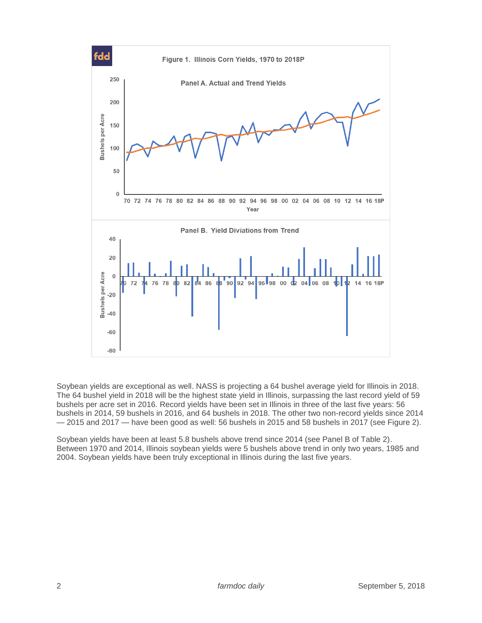

Soybean yields are exceptional as well. NASS is projecting a 64 bushel average yield for Illinois in 2018. The 64 bushel yield in 2018 will be the highest state yield in Illinois, surpassing the last record yield of 59 bushels per acre set in 2016. Record yields have been set in Illinois in three of the last five years: 56 bushels in 2014, 59 bushels in 2016, and 64 bushels in 2018. The other two non-record yields since 2014 — 2015 and 2017 — have been good as well: 56 bushels in 2015 and 58 bushels in 2017 (see Figure 2).

Soybean yields have been at least 5.8 bushels above trend since 2014 (see Panel B of Table 2). Between 1970 and 2014, Illinois soybean yields were 5 bushels above trend in only two years, 1985 and 2004. Soybean yields have been truly exceptional in Illinois during the last five years.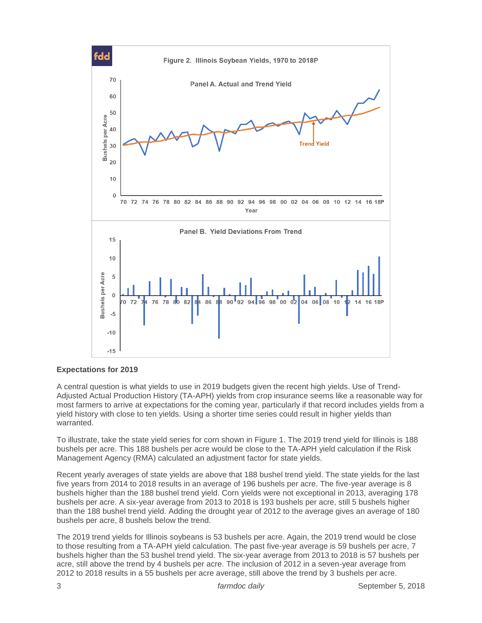

## **Expectations for 2019**

A central question is what yields to use in 2019 budgets given the recent high yields. Use of Trend-Adjusted Actual Production History (TA-APH) yields from crop insurance seems like a reasonable way for most farmers to arrive at expectations for the coming year, particularly if that record includes yields from a yield history with close to ten yields. Using a shorter time series could result in higher yields than warranted.

To illustrate, take the state yield series for corn shown in Figure 1. The 2019 trend yield for Illinois is 188 bushels per acre. This 188 bushels per acre would be close to the TA-APH yield calculation if the Risk Management Agency (RMA) calculated an adjustment factor for state yields.

Recent yearly averages of state yields are above that 188 bushel trend yield. The state yields for the last five years from 2014 to 2018 results in an average of 196 bushels per acre. The five-year average is 8 bushels higher than the 188 bushel trend yield. Corn yields were not exceptional in 2013, averaging 178 bushels per acre. A six-year average from 2013 to 2018 is 193 bushels per acre, still 5 bushels higher than the 188 bushel trend yield. Adding the drought year of 2012 to the average gives an average of 180 bushels per acre, 8 bushels below the trend.

The 2019 trend yields for Illinois soybeans is 53 bushels per acre. Again, the 2019 trend would be close to those resulting from a TA-APH yield calculation. The past five-year average is 59 bushels per acre, 7 bushels higher than the 53 bushel trend yield. The six-year average from 2013 to 2018 is 57 bushels per acre, still above the trend by 4 bushels per acre. The inclusion of 2012 in a seven-year average from 2012 to 2018 results in a 55 bushels per acre average, still above the trend by 3 bushels per acre.